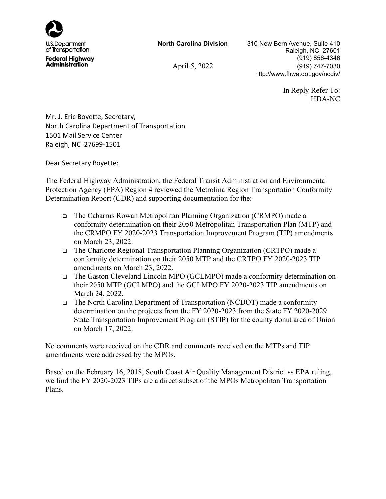

**North Carolina Division** 310 New Bern Avenue, Suite 410 Raleigh, NC 27601 (919) 856-4346 April 5, 2022 (919) 747-7030 http://www.fhwa.dot.gov/ncdiv/

> In Reply Refer To: HDA-NC

Mr. J. Eric Boyette, Secretary, North Carolina Department of Transportation 1501 Mail Service Center Raleigh, NC 27699-1501

Dear Secretary Boyette:

The Federal Highway Administration, the Federal Transit Administration and Environmental Protection Agency (EPA) Region 4 reviewed the Metrolina Region Transportation Conformity Determination Report (CDR) and supporting documentation for the:

- The Cabarrus Rowan Metropolitan Planning Organization (CRMPO) made a conformity determination on their 2050 Metropolitan Transportation Plan (MTP) and the CRMPO FY 2020-2023 Transportation Improvement Program (TIP) amendments on March 23, 2022.
- The Charlotte Regional Transportation Planning Organization (CRTPO) made a conformity determination on their 2050 MTP and the CRTPO FY 2020-2023 TIP amendments on March 23, 2022.
- The Gaston Cleveland Lincoln MPO (GCLMPO) made a conformity determination on their 2050 MTP (GCLMPO) and the GCLMPO FY 2020-2023 TIP amendments on March 24, 2022.
- The North Carolina Department of Transportation (NCDOT) made a conformity determination on the projects from the FY 2020-2023 from the State FY 2020-2029 State Transportation Improvement Program (STIP) for the county donut area of Union on March 17, 2022.

No comments were received on the CDR and comments received on the MTPs and TIP amendments were addressed by the MPOs.

Based on the February 16, 2018, South Coast Air Quality Management District vs EPA ruling, we find the FY 2020-2023 TIPs are a direct subset of the MPOs Metropolitan Transportation Plans.